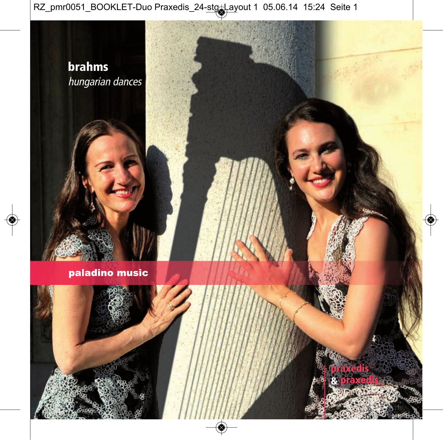**brahms** hungarian dances

paladino music



**praxedis & praxedis**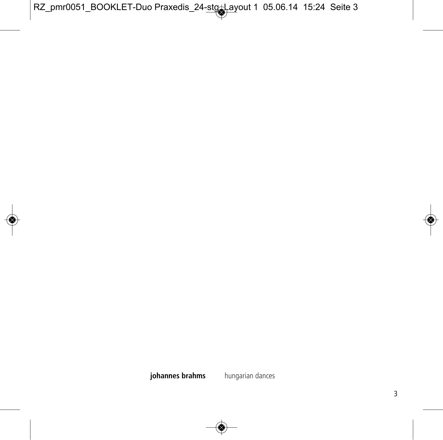**johannes brahms** hungarian dances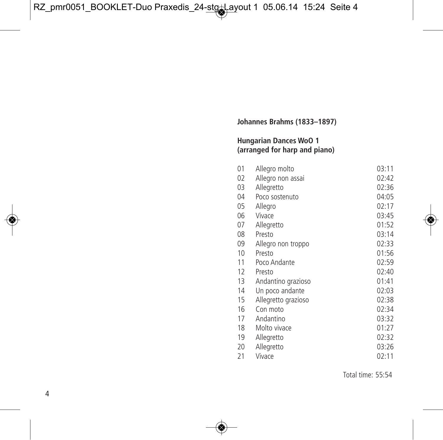## **Johannes Brahms (1833–1897)**

# **Hungarian Dances WoO 1 (arranged for harp and piano)**

| 01 | Allegro molto       | 03:11 |
|----|---------------------|-------|
| 02 | Allegro non assai   | 02:42 |
| 03 | Allegretto          | 02:36 |
| 04 | Poco sostenuto      | 04:05 |
| 05 | Allegro             | 02:17 |
| 06 | Vivace              | 03:45 |
| 07 | Allegretto          | 01:52 |
| 08 | Presto              | 03:14 |
| 09 | Allegro non troppo  | 02:33 |
| 10 | Presto              | 01:56 |
| 11 | Poco Andante        | 02:59 |
| 12 | Presto              | 02:40 |
| 13 | Andantino grazioso  | 01:41 |
| 14 | Un poco andante     | 02:03 |
| 15 | Allegretto grazioso | 02:38 |
| 16 | Con moto            | 02:34 |
| 17 | Andantino           | 03:32 |
| 18 | Molto vivace        | 01:27 |
| 19 | Allegretto          | 02:32 |
| 20 | Allegretto          | 03:26 |
| 21 | Vivace              | 02:11 |
|    |                     |       |

Total time: 55:54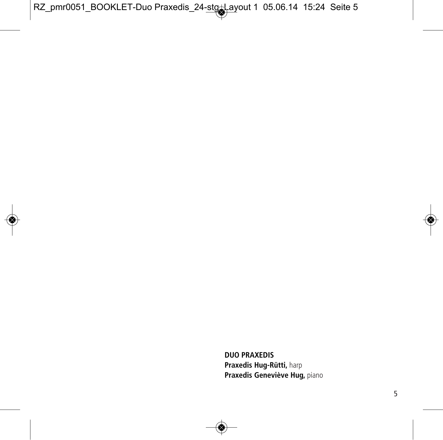**DUO PRAXEDIS Praxedis Hug-Rütti,** harp **Praxedis Geneviève Hug,** piano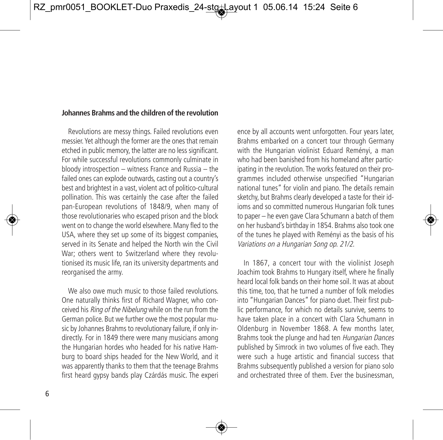# **Johannes Brahms and the children of the revolution**

Revolutions are messy things. Failed revolutions even messier. Yet although the former are the ones that remain etched in public memory, the latter are no less significant. For while successful revolutions commonly culminate in bloody introspection – witness France and Russia – the failed ones can explode outwards, casting out a country's best and brightest in a vast, violent act of politico-cultural pollination. This was certainly the case after the failed pan-European revolutions of 1848/9, when many of those revolutionaries who escaped prison and the block went on to change the world elsewhere. Many fled to the USA, where they set up some of its biggest companies, served in its Senate and helped the North win the Civil War; others went to Switzerland where they revolutionised its music life, ran its university departments and reorganised the army.

We also owe much music to those failed revolutions. One naturally thinks first of Richard Wagner, who conceived his Ring of the Nibelung while on the run from the German police. But we further owe the most popular music by Johannes Brahms to revolutionary failure, if only indirectly. For in 1849 there were many musicians among the Hungarian hordes who headed for his native Hamburg to board ships headed for the New World, and it was apparently thanks to them that the teenage Brahms first heard gypsy bands play Czárdás music. The experi ence by all accounts went unforgotten. Four years later, Brahms embarked on a concert tour through Germany with the Hungarian violinist Eduard Reményi, a man who had been banished from his homeland after participating in the revolution. The works featured on their programmes included otherwise unspecified "Hungarian national tunes" for violin and piano. The details remain sketchy, but Brahms clearly developed a taste for their idioms and so committed numerous Hungarian folk tunes to paper – he even gave Clara Schumann a batch of them on her husband's birthday in 1854. Brahms also took one of the tunes he played with Reményi as the basis of his Variations on a Hungarian Song op. 21/2.

In 1867, a concert tour with the violinist Joseph Joachim took Brahms to Hungary itself, where he finally heard local folk bands on their home soil. It was at about this time, too, that he turned a number of folk melodies into "Hungarian Dances" for piano duet. Their first public performance, for which no details survive, seems to have taken place in a concert with Clara Schumann in Oldenburg in November 1868. A few months later, Brahms took the plunge and had ten Hungarian Dances published by Simrock in two volumes of five each. They were such a huge artistic and financial success that Brahms subsequently published a version for piano solo and orchestrated three of them. Ever the businessman,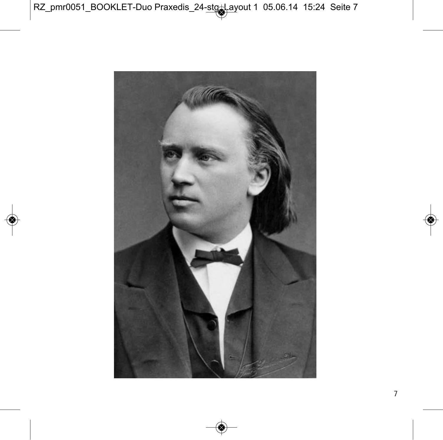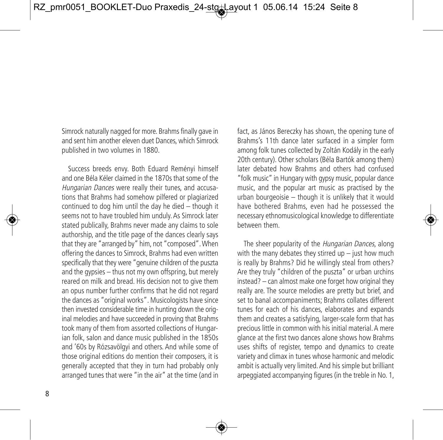Simrock naturally nagged for more. Brahms finally gave in and sent him another eleven duet Dances, which Simrock published in two volumes in 1880.

Success breeds envy. Both Eduard Reményi himself and one Béla Kéler claimed in the 1870s that some of the Hungarian Dances were really their tunes, and accusations that Brahms had somehow pilfered or plagiarized continued to dog him until the day he died – though it seems not to have troubled him unduly. As Simrock later stated publically, Brahms never made any claims to sole authorship, and the title page of the dances clearly says that they are "arranged by" him, not "composed". When offering the dances to Simrock, Brahms had even written specifically that they were "genuine children of the puszta and the gypsies – thus not my own offspring, but merely reared on milk and bread. His decision not to give them an opus number further confirms that he did not regard the dances as "original works". Musicologists have since then invested considerable time in hunting down the original melodies and have succeeded in proving that Brahms took many of them from assorted collections of Hungarian folk, salon and dance music published in the 1850s and '60s by Rózsavölgyi and others. And while some of those original editions do mention their composers, it is generally accepted that they in turn had probably only arranged tunes that were "in the air" at the time (and in fact, as János Bereczky has shown, the opening tune of Brahms's 11th dance later surfaced in a simpler form among folk tunes collected by Zoltán Kodály in the early 20th century). Other scholars (Béla Bartók among them) later debated how Brahms and others had confused "folk music" in Hungary with gypsy music, popular dance music, and the popular art music as practised by the urban bourgeoisie – though it is unlikely that it would have bothered Brahms, even had he possessed the necessary ethnomusicological knowledge to differentiate between them.

The sheer popularity of the Hungarian Dances, along with the many debates they stirred up  $-$  just how much is really by Brahms? Did he willingly steal from others? Are they truly "children of the puszta" or urban urchins instead? – can almost make one forget how original they really are. The source melodies are pretty but brief, and set to banal accompaniments; Brahms collates different tunes for each of his dances, elaborates and expands them and creates a satisfying, larger-scale form that has precious little in common with his initial material. A mere glance at the first two dances alone shows how Brahms uses shifts of register, tempo and dynamics to create variety and climax in tunes whose harmonic and melodic ambit is actually very limited. And his simple but brilliant arpeggiated accompanying figures (in the treble in No. 1,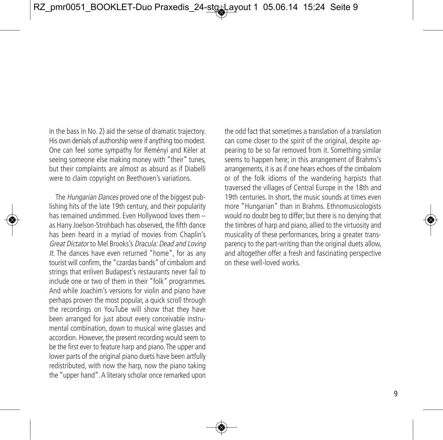in the bass in No. 2) aid the sense of dramatic trajectory. His own denials of authorship were if anything too modest. One can feel some sympathy for Reményi and Kéler at seeing someone else making money with "their" tunes, but their complaints are almost as absurd as if Diabelli were to claim copyright on Beethoven's variations.

The Hungarian Dances proved one of the biggest publishing hits of the late 19th century, and their popularity has remained undimmed. Even Hollywood loves them – as Harry Joelson-Strohbach has observed, the fifth dance has been heard in a myriad of movies from Chaplin's Great Dictator to Mel Brooks's Dracula: Dead and Loving It. The dances have even returned "home", for as any tourist will confirm, the "czardas bands" of cimbalom and strings that enliven Budapest's restaurants never fail to include one or two of them in their "folk" programmes. And while Joachim's versions for violin and piano have perhaps proven the most popular, a quick scroll through the recordings on YouTube will show that they have been arranged for just about every conceivable instrumental combination, down to musical wine glasses and accordion. However, the present recording would seem to be the first ever to feature harp and piano. The upper and lower parts of the original piano duets have been artfully redistributed, with now the harp, now the piano taking the "upper hand". A literary scholar once remarked upon

the odd fact that sometimes a translation of a translation can come closer to the spirit of the original, despite appearing to be so far removed from it. Something similar seems to happen here; in this arrangement of Brahms's arrangements, it is as if one hears echoes of the cimbalom or of the folk idioms of the wandering harpists that traversed the villages of Central Europe in the 18th and 19th centuries. In short, the music sounds at times even more "Hungarian" than in Brahms. Ethnomusicologists would no doubt beg to differ; but there is no denying that the timbres of harp and piano, allied to the virtuosity and musicality of these performances, bring a greater transparency to the part-writing than the original duets allow, and altogether offer a fresh and fascinating perspective on these well-loved works.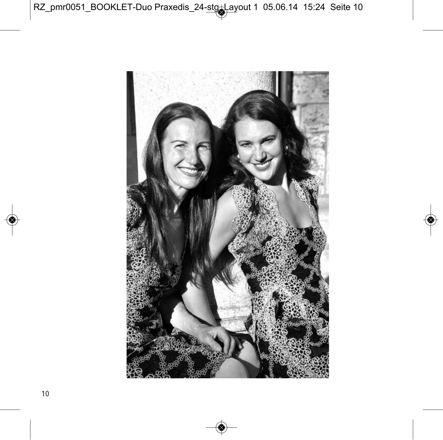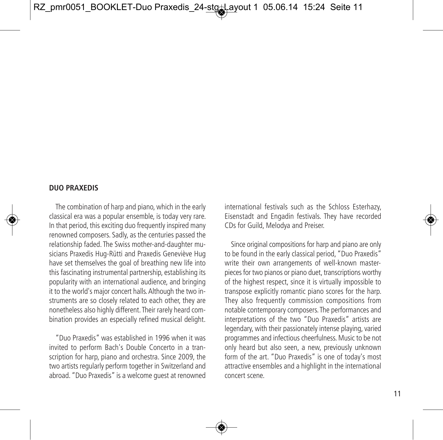### **DUO PRAXEDIS**

The combination of harp and piano, which in the early classical era was a popular ensemble, is today very rare. In that period, this exciting duo frequently inspired many renowned composers. Sadly, as the centuries passed the relationship faded. The Swiss mother-and-daughter musicians Praxedis Hug-Rütti and Praxedis Geneviève Hug have set themselves the goal of breathing new life into this fascinating instrumental partnership, establishing its popularity with an international audience, and bringing it to the world's major concert halls. Although the two instruments are so closely related to each other, they are nonetheless also highly different. Their rarely heard combination provides an especially refined musical delight.

"Duo Praxedis" was established in 1996 when it was invited to perform Bach's Double Concerto in a transcription for harp, piano and orchestra. Since 2009, the two artists regularly perform together in Switzerland and abroad. "Duo Praxedis" is a welcome guest at renowned international festivals such as the Schloss Esterhazy, Eisenstadt and Engadin festivals. They have recorded CDs for Guild, Melodya and Preiser.

Since original compositions for harp and piano are only to be found in the early classical period, "Duo Praxedis" write their own arrangements of well-known masterpieces for two pianos or piano duet, transcriptions worthy of the highest respect, since it is virtually impossible to transpose explicitly romantic piano scores for the harp. They also frequently commission compositions from notable contemporary composers. The performances and interpretations of the two "Duo Praxedis" artists are legendary, with their passionately intense playing, varied programmes and infectious cheerfulness. Music to be not only heard but also seen, a new, previously unknown form of the art. "Duo Praxedis" is one of today's most attractive ensembles and a highlight in the international concert scene.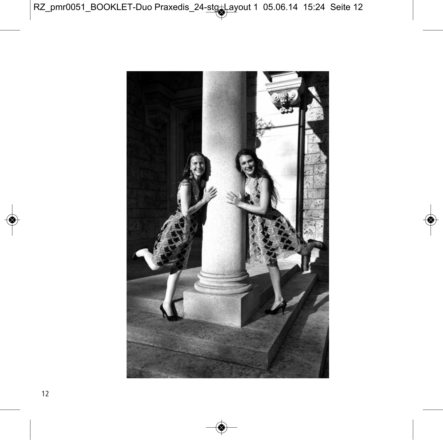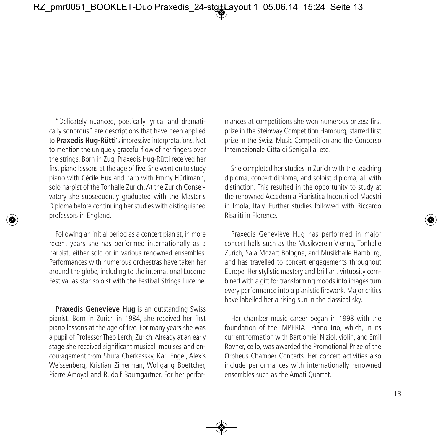"Delicately nuanced, poetically lyrical and dramatically sonorous" are descriptions that have been applied to **Praxedis Hug-Rütti**'s impressive interpretations. Not to mention the uniquely graceful flow of her fingers over the strings. Born in Zug, Praxedis Hug-Rütti received her first piano lessons at the age of five. She went on to study piano with Cécile Hux and harp with Emmy Hürlimann, solo harpist of the Tonhalle Zurich. At the Zurich Conservatory she subsequently graduated with the Master's Diploma before continuing her studies with distinguished professors in England.

Following an initial period as a concert pianist, in more recent years she has performed internationally as a harpist, either solo or in various renowned ensembles. Performances with numerous orchestras have taken her around the globe, including to the international Lucerne Festival as star soloist with the Festival Strings Lucerne.

**Praxedis Geneviève Hug** is an outstanding Swiss pianist. Born in Zurich in 1984, she received her first piano lessons at the age of five. For many years she was a pupil of Professor Theo Lerch, Zurich. Already at an early stage she received significant musical impulses and encouragement from Shura Cherkassky, Karl Engel, Alexis Weissenberg, Kristian Zimerman, Wolfgang Boettcher, Pierre Amoyal and Rudolf Baumgartner. For her performances at competitions she won numerous prizes: first prize in the Steinway Competition Hamburg, starred first prize in the Swiss Music Competition and the Concorso Internazionale Citta di Senigallia, etc.

She completed her studies in Zurich with the teaching diploma, concert diploma, and soloist diploma, all with distinction. This resulted in the opportunity to study at the renowned Accademia Pianistica Incontri col Maestri in Imola, Italy. Further studies followed with Riccardo Risaliti in Florence.

Praxedis Geneviève Hug has performed in major concert halls such as the Musikverein Vienna, Tonhalle Zurich, Sala Mozart Bologna, and Musikhalle Hamburg, and has travelled to concert engagements throughout Europe. Her stylistic mastery and brilliant virtuosity combined with a gift for transforming moods into images turn every performance into a pianistic firework. Major critics have labelled her a rising sun in the classical sky.

Her chamber music career began in 1998 with the foundation of the IMPERIAL Piano Trio, which, in its current formation with Bartlomiej Niziol, violin, and Emil Rovner, cello, was awarded the Promotional Prize of the Orpheus Chamber Concerts. Her concert activities also include performances with internationally renowned ensembles such as the Amati Quartet.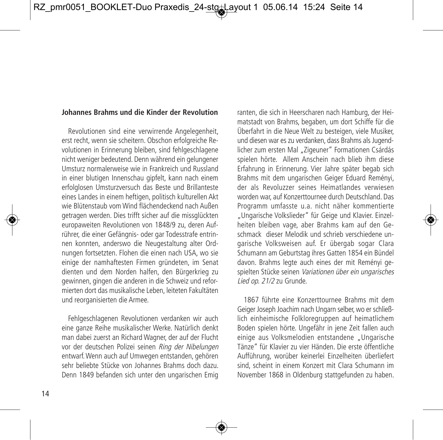## **Johannes Brahms und die Kinder der Revolution**

Revolutionen sind eine verwirrende Angelegenheit, erst recht, wenn sie scheitern. Obschon erfolgreiche Revolutionen in Erinnerung bleiben, sind fehlgeschlagene nicht weniger bedeutend. Denn während ein gelungener Umsturz normalerweise wie in Frankreich und Russland in einer blutigen Innenschau gipfelt, kann nach einem erfolglosen Umsturzversuch das Beste und Brillanteste eines Landes in einem heftigen, politisch kulturellen Akt wie Blütenstaub vom Wind flächendeckend nach Außen getragen werden. Dies trifft sicher auf die missglückten europaweiten Revolutionen von 1848/9 zu, deren Aufrührer, die einer Gefängnis- oder gar Todesstrafe entrinnen konnten, anderswo die Neugestaltung alter Ordnungen fortsetzten. Flohen die einen nach USA, wo sie einige der namhaftesten Firmen gründeten, im Senat dienten und dem Norden halfen, den Bürgerkrieg zu gewinnen, gingen die anderen in die Schweiz und reformierten dort das musikalische Leben, leiteten Fakultäten und reorganisierten die Armee.

Fehlgeschlagenen Revolutionen verdanken wir auch eine ganze Reihe musikalischer Werke. Natürlich denkt man dabei zuerst an Richard Wagner, der auf der Flucht vor der deutschen Polizei seinen Ring der Nibelungen entwarf. Wenn auch auf Umwegen entstanden, gehören sehr beliebte Stücke von Johannes Brahms doch dazu. Denn 1849 befanden sich unter den ungarischen Emig ranten, die sich in Heerscharen nach Hamburg, der Heimatstadt von Brahms, begaben, um dort Schiffe für die Überfahrt in die Neue Welt zu besteigen, viele Musiker, und diesen war es zu verdanken, dass Brahms als Jugendlicher zum ersten Mal "Zigeuner" Formationen Csárdás spielen hörte. Allem Anschein nach blieb ihm diese Erfahrung in Erinnerung. Vier Jahre später begab sich Brahms mit dem ungarischen Geiger Eduard Reményi, der als Revoluzzer seines Heimatlandes verwiesen worden war, auf Konzerttournee durch Deutschland. Das Programm umfasste u.a. nicht näher kommentierte "Ungarische Volkslieder" für Geige und Klavier. Einzelheiten bleiben vage, aber Brahms kam auf den Geschmack dieser Melodik und schrieb verschiedene ungarische Volksweisen auf. Er übergab sogar Clara Schumann am Geburtstag ihres Gatten 1854 ein Bündel davon. Brahms legte auch eines der mit Reményi gespielten Stücke seinen Variationen über ein ungarisches Lied op. 21/2 zu Grunde.

1867 führte eine Konzerttournee Brahms mit dem Geiger Joseph Joachim nach Ungarn selber, wo er schließlich einheimische Folkloregruppen auf heimatlichem Boden spielen hörte. Ungefähr in jene Zeit fallen auch einige aus Volksmelodien entstandene "Ungarische Tänze" für Klavier zu vier Händen. Die erste öffentliche Aufführung, worüber keinerlei Einzelheiten überliefert sind, scheint in einem Konzert mit Clara Schumann im November 1868 in Oldenburg stattgefunden zu haben.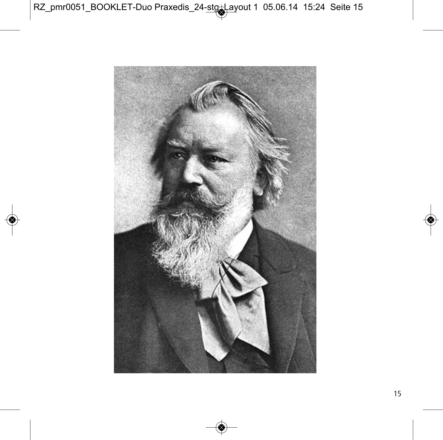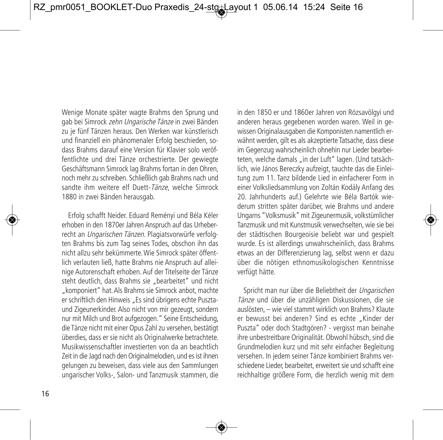Wenige Monate später wagte Brahms den Sprung und gab bei Simrock zehn Ungarische Tänze in zwei Bänden zu je fünf Tänzen heraus. Den Werken war künstlerisch und finanziell ein phänomenaler Erfolg beschieden, sodass Brahms darauf eine Version für Klavier solo veröffentlichte und drei Tänze orchestrierte. Der gewiegte Geschäftsmann Simrock lag Brahms fortan in den Ohren, noch mehr zu schreiben. Schließlich gab Brahms nach und sandte ihm weitere elf Duett-Tänze, welche Simrock 1880 in zwei Bänden herausgab.

Erfolg schafft Neider. Eduard Reményi und Béla Kéler erhoben in den 1870er Jahren Anspruch auf das Urheberrecht an Ungarischen Tänzen. Plagiatsvorwürfe verfolgten Brahms bis zum Tag seines Todes, obschon ihn das nicht allzu sehr bekümmerte. Wie Simrock später öffentlich verlauten ließ, hatte Brahms nie Anspruch auf alleinige Autorenschaft erhoben. Auf der Titelseite der Tänze steht deutlich, dass Brahms sie "bearbeitet" und nicht "komponiert" hat. Als Brahms sie Simrock anbot, machte er schriftlich den Hinweis "Es sind übrigens echte Pusztaund Zigeunerkinder. Also nicht von mir gezeugt, sondern nur mit Milch und Brot aufgezogen." Seine Entscheidung, die Tänze nicht mit einer Opus Zahl zu versehen, bestätigt überdies, dass er sie nicht als Originalwerke betrachtete. Musikwissenschaftler investierten von da an beachtlich Zeit in die Jagd nach den Originalmelodien, und es ist ihnen gelungen zu beweisen, dass viele aus den Sammlungen ungarischer Volks-, Salon- und Tanzmusik stammen, die in den 1850 er und 1860er Jahren von Rózsavölgyi und anderen heraus gegebenen worden waren. Weil in gewissen Originalausgaben die Komponisten namentlich erwähnt werden, gilt es als akzeptierte Tatsache, dass diese im Gegenzug wahrscheinlich ohnehin nur Lieder bearbeiteten, welche damals "in der Luft" lagen. (Und tatsächlich, wie János Bereczky aufzeigt, tauchte das die Einleitung zum 11. Tanz bildende Lied in einfacherer Form in einer Volksliedsammlung von Zoltán Kodály Anfang des 20. Jahrhunderts auf.) Gelehrte wie Béla Bartók wiederum stritten später darüber, wie Brahms und andere Ungarns "Volksmusik" mit Zigeunermusik, volkstümlicher Tanzmusik und mit Kunstmusik verwechselten, wie sie bei der städtischen Bourgeoisie beliebt war und gespielt wurde. Es ist allerdings unwahrscheinlich, dass Brahms etwas an der Differenzierung lag, selbst wenn er dazu über die nötigen ethnomusikologischen Kenntnisse verfügt hätte.

Spricht man nur über die Beliebtheit der Ungarischen Tänze und über die unzähligen Diskussionen, die sie auslösten, – wie viel stammt wirklich von Brahms? Klaute er bewusst bei anderen? Sind es echte "Kinder der Puszta" oder doch Stadtgören? - vergisst man beinahe ihre unbestreitbare Originalität. Obwohl hübsch, sind die Grundmelodien kurz und mit sehr einfacher Begleitung versehen. In jedem seiner Tänze kombiniert Brahms verschiedene Lieder, bearbeitet, erweitert sie und schafft eine reichhaltige größere Form, die herzlich wenig mit dem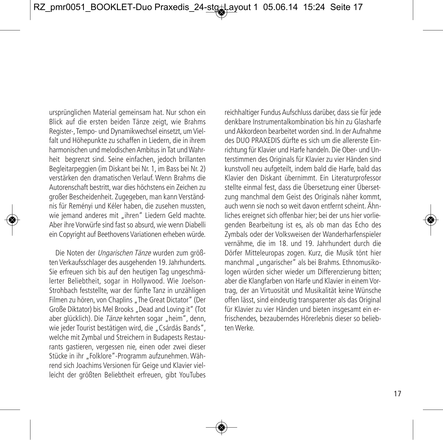ursprünglichen Material gemeinsam hat. Nur schon ein Blick auf die ersten beiden Tänze zeigt, wie Brahms Register-, Tempo- und Dynamikwechsel einsetzt, um Vielfalt und Höhepunkte zu schaffen in Liedern, die in ihrem harmonischen und melodischen Ambitus in Tat und Wahrheit begrenzt sind. Seine einfachen, jedoch brillanten Begleitarpeggien (im Diskant bei Nr. 1, im Bass bei Nr. 2) verstärken den dramatischen Verlauf. Wenn Brahms die Autorenschaft bestritt, war dies höchstens ein Zeichen zu großer Bescheidenheit. Zugegeben, man kann Verständnis für Reményi und Kéler haben, die zusehen mussten, wie jemand anderes mit "ihren" Liedern Geld machte. Aber ihre Vorwürfe sind fast so absurd, wie wenn Diabelli ein Copyright auf Beethovens Variationen erheben würde.

Die Noten der Ungarischen Tänze wurden zum größten Verkaufsschlager des ausgehenden 19. Jahrhunderts. Sie erfreuen sich bis auf den heutigen Tag ungeschmälerter Beliebtheit, sogar in Hollywood. Wie Joelson-Strohbach feststellte, war der fünfte Tanz in unzähligen Filmen zu hören, von Chaplins "The Great Dictator" (Der Große Diktator) bis Mel Brooks "Dead and Loving it" (Tot aber glücklich). Die Tänze kehrten sogar "heim", denn, wie jeder Tourist bestätigen wird, die "Csárdás Bands", welche mit Zymbal und Streichern in Budapests Restaurants gastieren, vergessen nie, einen oder zwei dieser Stücke in ihr "Folklore"-Programm aufzunehmen. Während sich Joachims Versionen für Geige und Klavier vielleicht der größten Beliebtheit erfreuen, gibt YouTubes reichhaltiger Fundus Aufschluss darüber, dass sie für jede denkbare Instrumentalkombination bis hin zu Glasharfe und Akkordeon bearbeitet worden sind. In der Aufnahme des DUO PRAXEDIS dürfte es sich um die allererste Einrichtung für Klavier und Harfe handeln. Die Ober- und Unterstimmen des Originals für Klavier zu vier Händen sind kunstvoll neu aufgeteilt, indem bald die Harfe, bald das Klavier den Diskant übernimmt. Ein Literaturprofessor stellte einmal fest, dass die Übersetzung einer Übersetzung manchmal dem Geist des Originals näher kommt, auch wenn sie noch so weit davon entfernt scheint. Ähnliches ereignet sich offenbar hier; bei der uns hier vorliegenden Bearbeitung ist es, als ob man das Echo des Zymbals oder der Volksweisen der Wanderharfenspieler vernähme, die im 18. und 19. Jahrhundert durch die Dörfer Mitteleuropas zogen. Kurz, die Musik tönt hier manchmal "ungarischer" als bei Brahms. Ethnomusikologen würden sicher wieder um Differenzierung bitten; aber die Klangfarben von Harfe und Klavier in einem Vortrag, der an Virtuosität und Musikalität keine Wünsche offen lässt, sind eindeutig transparenter als das Original für Klavier zu vier Händen und bieten insgesamt ein erfrischendes, bezauberndes Hörerlebnis dieser so beliebten Werke.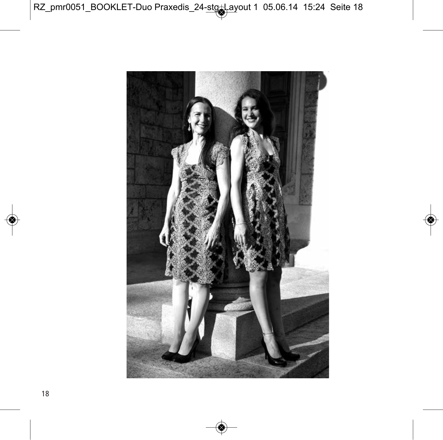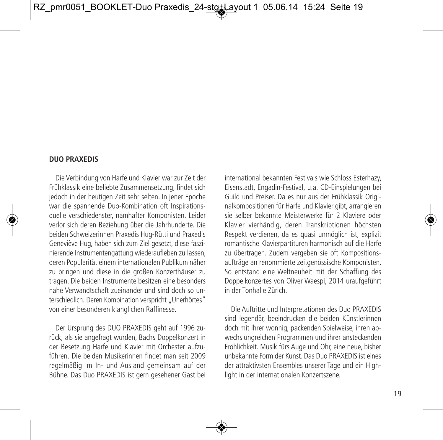### **DUO PRAXEDIS**

Die Verbindung von Harfe und Klavier war zur Zeit der Frühklassik eine beliebte Zusammensetzung, findet sich jedoch in der heutigen Zeit sehr selten. In jener Epoche war die spannende Duo-Kombination oft Inspirationsquelle verschiedenster, namhafter Komponisten. Leider verlor sich deren Beziehung über die Jahrhunderte. Die beiden Schweizerinnen Praxedis Hug-Rütti und Praxedis Geneviève Hug, haben sich zum Ziel gesetzt, diese faszinierende Instrumentengattung wiederaufleben zu lassen, deren Popularität einem internationalen Publikum näher zu bringen und diese in die großen Konzerthäuser zu tragen. Die beiden Instrumente besitzen eine besonders nahe Verwandtschaft zueinander und sind doch so unterschiedlich. Deren Kombination verspricht "Unerhörtes" von einer besonderen klanglichen Raffinesse.

Der Ursprung des DUO PRAXEDIS geht auf 1996 zurück, als sie angefragt wurden, Bachs Doppelkonzert in der Besetzung Harfe und Klavier mit Orchester aufzuführen. Die beiden Musikerinnen findet man seit 2009 regelmäßig im In- und Ausland gemeinsam auf der Bühne. Das Duo PRAXEDIS ist gern gesehener Gast bei international bekannten Festivals wie Schloss Esterhazy, Eisenstadt, Engadin-Festival, u.a. CD-Einspielungen bei Guild und Preiser. Da es nur aus der Frühklassik Originalkompositionen für Harfe und Klavier gibt, arrangieren sie selber bekannte Meisterwerke für 2 Klaviere oder Klavier vierhändig, deren Transkriptionen höchsten Respekt verdienen, da es quasi unmöglich ist, explizit romantische Klavierpartituren harmonisch auf die Harfe zu übertragen. Zudem vergeben sie oft Kompositionsaufträge an renommierte zeitgenössische Komponisten. So entstand eine Weltneuheit mit der Schaffung des Doppelkonzertes von Oliver Waespi, 2014 uraufgeführt in der Tonhalle Zürich.

Die Auftritte und Interpretationen des Duo PRAXEDIS sind legendär, beeindrucken die beiden Künstlerinnen doch mit ihrer wonnig, packenden Spielweise, ihren abwechslungreichen Programmen und ihrer ansteckenden Fröhlichkeit. Musik fürs Auge und Ohr, eine neue, bisher unbekannte Form der Kunst. Das Duo PRAXEDIS ist eines der attraktivsten Ensembles unserer Tage und ein Highlight in der internationalen Konzertszene.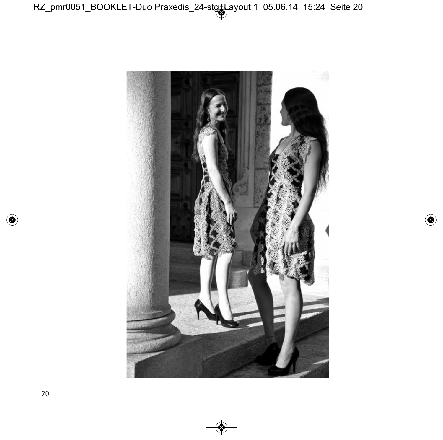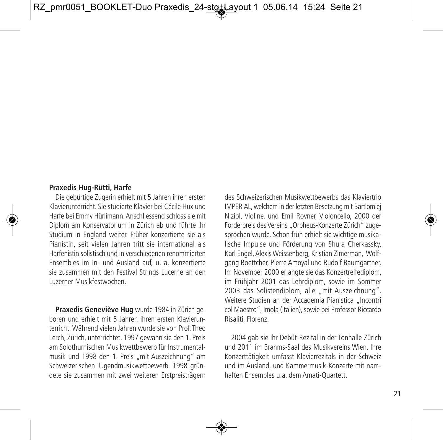#### **Praxedis Hug-Rütti, Harfe**

Die gebürtige Zugerin erhielt mit 5 Jahren ihren ersten Klavierunterricht. Sie studierte Klavier bei Cécile Hux und Harfe bei Emmy Hürlimann. Anschliessend schloss sie mit Diplom am Konservatorium in Zürich ab und führte ihr Studium in England weiter. Früher konzertierte sie als Pianistin, seit vielen Jahren tritt sie international als Harfenistin solistisch und in verschiedenen renommierten Ensembles im In- und Ausland auf, u. a. konzertierte sie zusammen mit den Festival Strings Lucerne an den Luzerner Musikfestwochen.

**Praxedis Geneviève Hug** wurde 1984 in Zürich geboren und erhielt mit 5 Jahren ihren ersten Klavierunterricht. Während vielen Jahren wurde sie von Prof. Theo Lerch, Zürich, unterrichtet. 1997 gewann sie den 1. Preis am Solothurnischen Musikwettbewerb für Instrumentalmusik und 1998 den 1. Preis mit Auszeichnung" am Schweizerischen Jugendmusikwettbewerb. 1998 gründete sie zusammen mit zwei weiteren Erstpreisträgern des Schweizerischen Musikwettbewerbs das Klaviertrio IMPERIAL, welchem in der letzten Besetzung mit Bartlomiej Niziol, Violine, und Emil Rovner, Violoncello, 2000 der Förderpreis des Vereins "Orpheus-Konzerte Zürich" zugesprochen wurde. Schon früh erhielt sie wichtige musikalische Impulse und Förderung von Shura Cherkassky, Karl Engel, Alexis Weissenberg, Kristian Zimerman, Wolfgang Boettcher, Pierre Amoyal und Rudolf Baumgartner. Im November 2000 erlangte sie das Konzertreifediplom, im Frühjahr 2001 das Lehrdiplom, sowie im Sommer 2003 das Solistendiplom, alle "mit Auszeichnung". Weitere Studien an der Accademia Pianistica "Incontri col Maestro", Imola (Italien), sowie bei Professor Riccardo Risaliti, Florenz.

2004 gab sie ihr Debüt-Rezital in der Tonhalle Zürich und 2011 im Brahms-Saal des Musikvereins Wien. Ihre Konzerttätigkeit umfasst Klavierrezitals in der Schweiz und im Ausland, und Kammermusik-Konzerte mit namhaften Ensembles u.a. dem Amati-Quartett.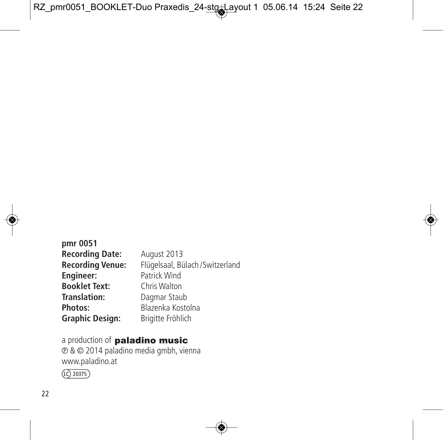| pmr 0051                |                                  |
|-------------------------|----------------------------------|
| <b>Recording Date:</b>  | August 2013                      |
| <b>Recording Venue:</b> | Flügelsaal, Bülach / Switzerland |
| Engineer:               | Patrick Wind                     |
| <b>Booklet Text:</b>    | Chris Walton                     |
| <b>Translation:</b>     | Dagmar Staub                     |
| Photos:                 | Blazenka Kostolna                |
| <b>Graphic Design:</b>  | Brigitte Fröhlich                |

a production of **paladino music** & 2014 paladino media gmbh, vienna www.paladino.at

 $(\overline{LC})$  20375)